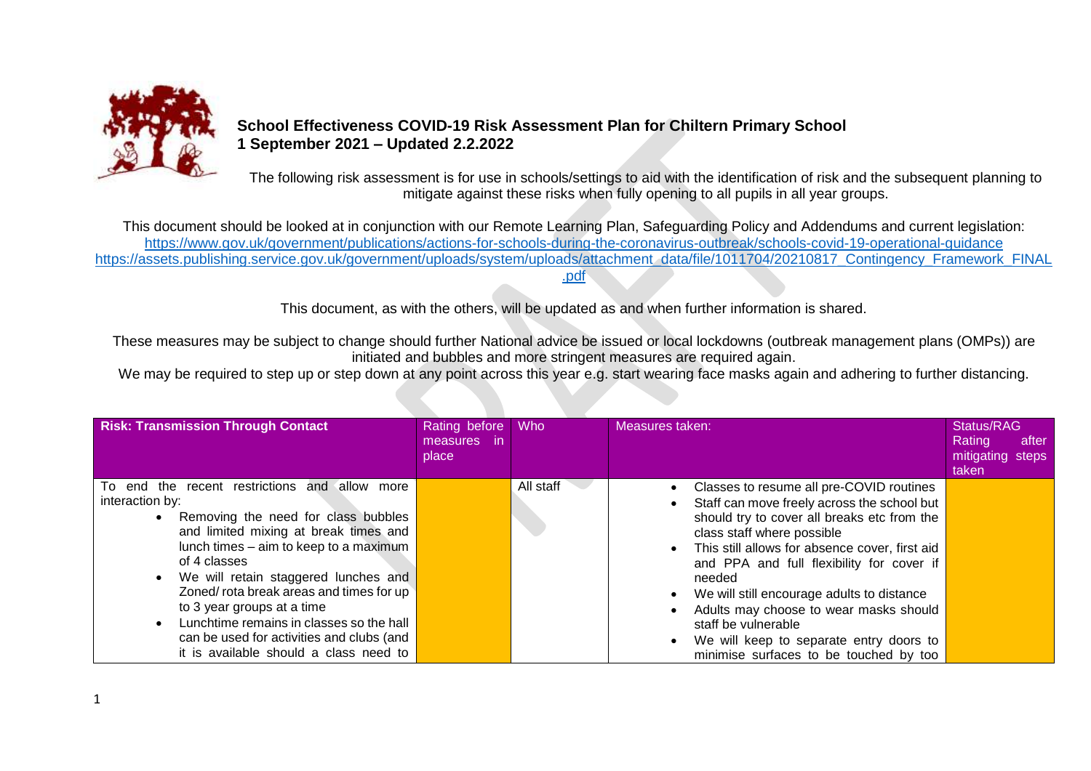

## **School Effectiveness COVID-19 Risk Assessment Plan for Chiltern Primary School 1 September 2021 – Updated 2.2.2022**

The following risk assessment is for use in schools/settings to aid with the identification of risk and the subsequent planning to mitigate against these risks when fully opening to all pupils in all year groups.

This document should be looked at in conjunction with our Remote Learning Plan, Safeguarding Policy and Addendums and current legislation: <https://www.gov.uk/government/publications/actions-for-schools-during-the-coronavirus-outbreak/schools-covid-19-operational-guidance> [https://assets.publishing.service.gov.uk/government/uploads/system/uploads/attachment\\_data/file/1011704/20210817\\_Contingency\\_Framework\\_FINAL](https://assets.publishing.service.gov.uk/government/uploads/system/uploads/attachment_data/file/1011704/20210817_Contingency_Framework_FINAL.pdf) [.pdf](https://assets.publishing.service.gov.uk/government/uploads/system/uploads/attachment_data/file/1011704/20210817_Contingency_Framework_FINAL.pdf)

This document, as with the others, will be updated as and when further information is shared.

These measures may be subject to change should further National advice be issued or local lockdowns (outbreak management plans (OMPs)) are initiated and bubbles and more stringent measures are required again.

We may be required to step up or step down at any point across this year e.g. start wearing face masks again and adhering to further distancing.

| <b>Risk: Transmission Through Contact</b>                                                                                                                                                                                                                                                                                                                               | Rating before<br>measures in<br>place | Who       | Measures taken:                                                                                                                                                                                                                                                                                                                                                       | Status/RAG<br>Rating<br>after<br>mitigating steps<br>taken |
|-------------------------------------------------------------------------------------------------------------------------------------------------------------------------------------------------------------------------------------------------------------------------------------------------------------------------------------------------------------------------|---------------------------------------|-----------|-----------------------------------------------------------------------------------------------------------------------------------------------------------------------------------------------------------------------------------------------------------------------------------------------------------------------------------------------------------------------|------------------------------------------------------------|
| To end the recent restrictions and allow more<br>interaction by:<br>Removing the need for class bubbles<br>and limited mixing at break times and<br>lunch times - aim to keep to a maximum<br>of 4 classes<br>We will retain staggered lunches and<br>Zoned/rota break areas and times for up<br>to 3 year groups at a time<br>Lunchtime remains in classes so the hall |                                       | All staff | Classes to resume all pre-COVID routines<br>Staff can move freely across the school but<br>should try to cover all breaks etc from the<br>class staff where possible<br>This still allows for absence cover, first aid<br>and PPA and full flexibility for cover if<br>needed<br>We will still encourage adults to distance<br>Adults may choose to wear masks should |                                                            |
| can be used for activities and clubs (and<br>it is available should a class need to                                                                                                                                                                                                                                                                                     |                                       |           | staff be vulnerable<br>We will keep to separate entry doors to<br>minimise surfaces to be touched by too                                                                                                                                                                                                                                                              |                                                            |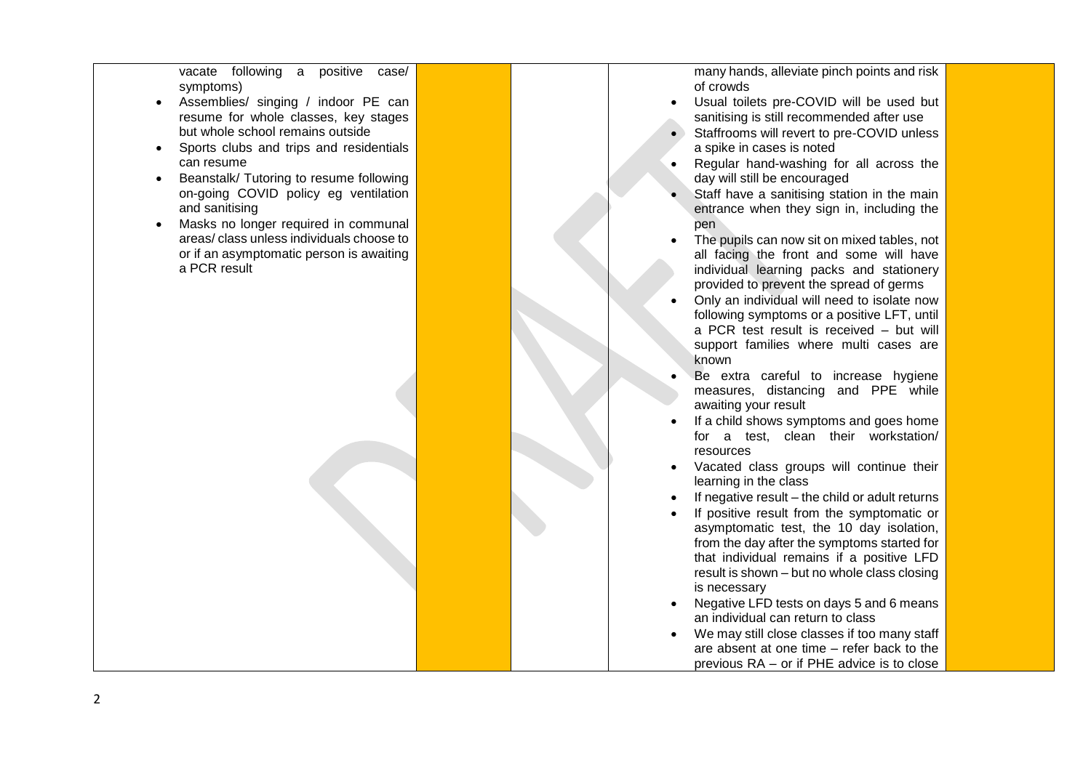vacate following a positive case/ symptoms)

- Assemblies/ singing / indoor PE can resume for whole classes, key stages but whole school remains outside
- Sports clubs and trips and residentials can resume
- Beanstalk/ Tutoring to resume following on -going COVID policy eg ventilation and sanitising
- Masks no longer required in communal areas/ class unless individuals choose to or if an asymptomatic person is awaiting a PCR result

many hands, alleviate pinch points and risk of crowds

- Usual toilets pre-COVID will be used but sanitising is still recommended after use
- Staffrooms will revert to pre-COVID unless a spike in cases is noted
- Regular hand -washing for all across the day will still be encouraged
- Staff have a sanitising station in the main entrance when they sign in, including the pen
- The pupils can now sit on mixed tables, not all facing the front and some will have individual learning packs and stationery provided to prevent the spread of germs
- Only an individual will need to isolate now following symptoms or a positive LFT, until a PCR test result is received – but will support families where multi cases are known
- Be extra careful to increase hygiene measures, distancing and PPE while awaiting your result
- If a child shows symptoms and goes home for a test, clean their workstation/ resources
- Vacated class groups will continue their learning in the class
- If negative result the child or adult returns
- If positive result from the symptomatic or asymptomatic test, the 10 day isolation, from the day after the symptoms started for that individual remains if a positive LFD result is shown – but no whole class closing is necessary
- Negative LFD tests on days 5 and 6 means an individual can return to class
- We may still close classes if too many staff are absent at one time – refer back to the previous RA – or if PHE advice is to close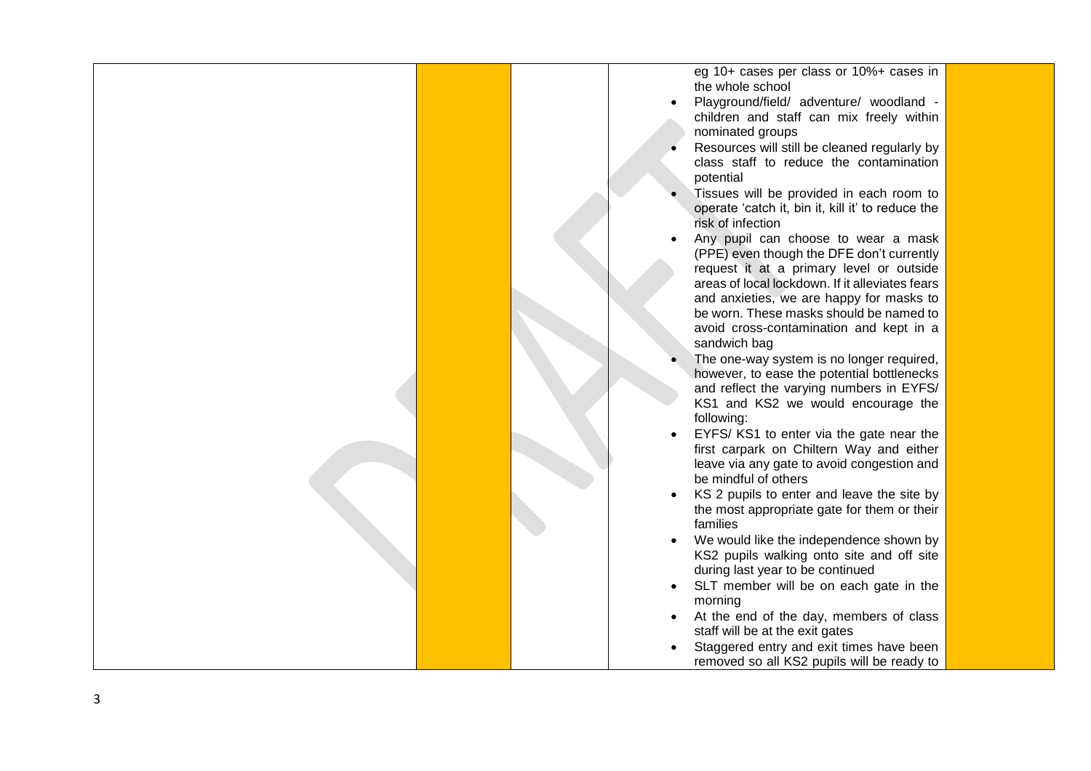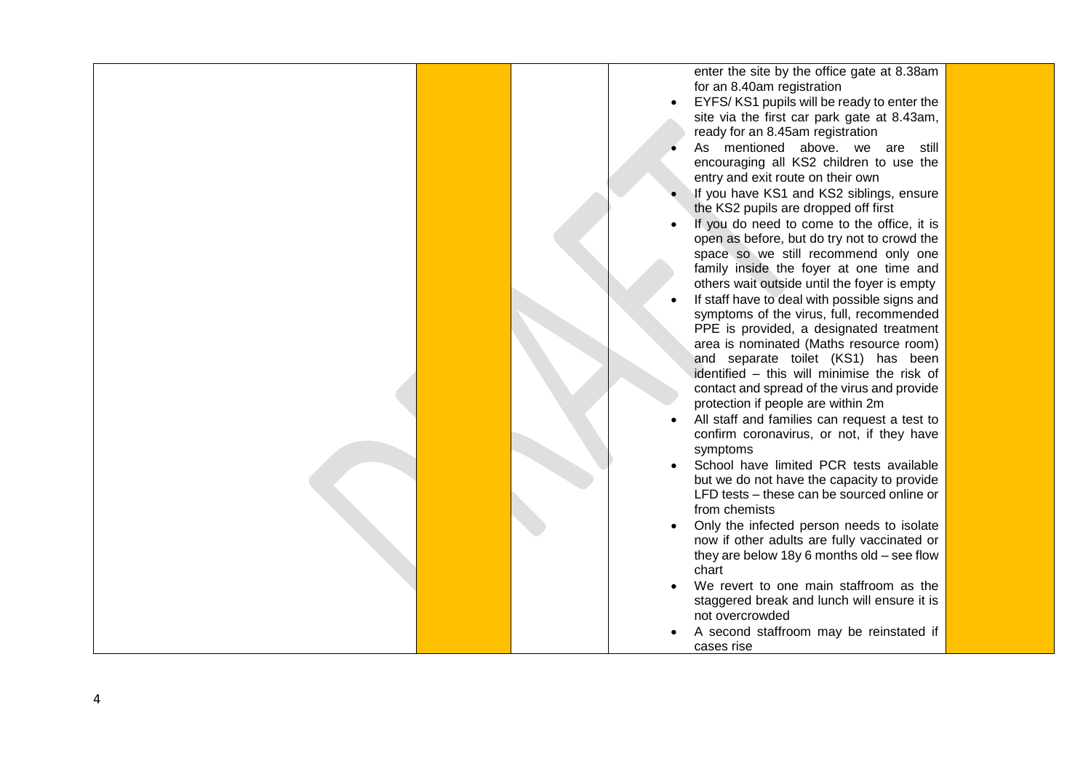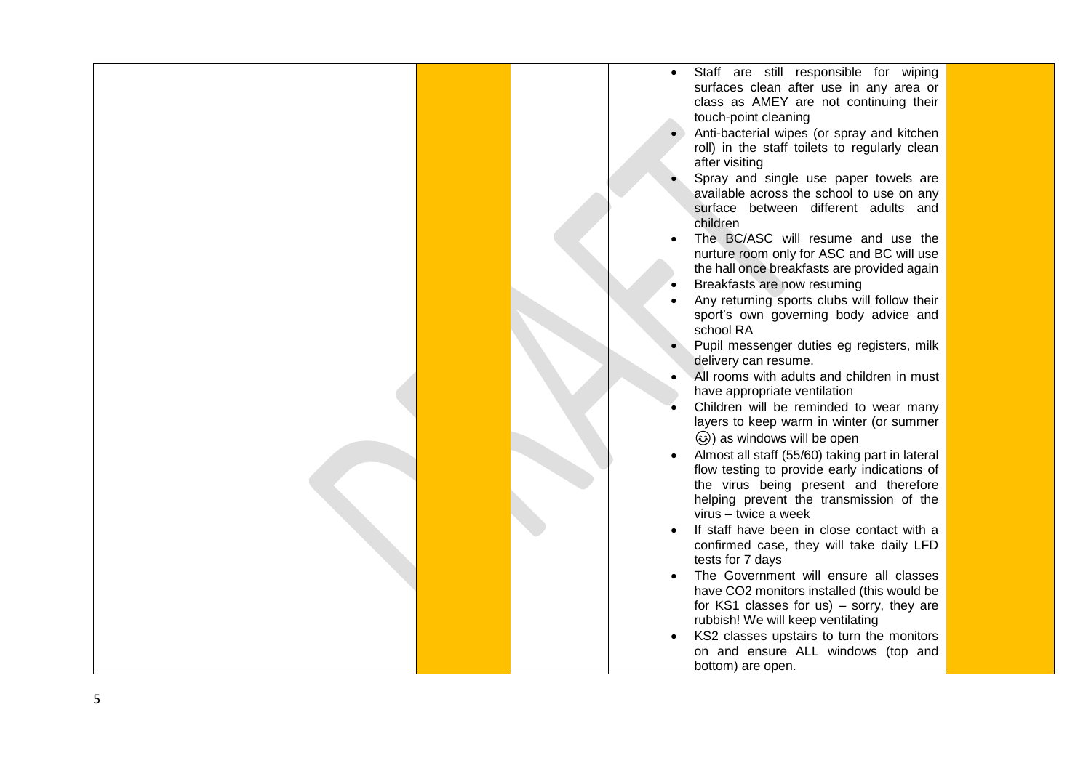|  | Staff are still responsible for wiping                          |  |
|--|-----------------------------------------------------------------|--|
|  | surfaces clean after use in any area or                         |  |
|  | class as AMEY are not continuing their                          |  |
|  | touch-point cleaning                                            |  |
|  | Anti-bacterial wipes (or spray and kitchen                      |  |
|  | roll) in the staff toilets to regularly clean                   |  |
|  | after visiting                                                  |  |
|  | Spray and single use paper towels are                           |  |
|  |                                                                 |  |
|  | available across the school to use on any                       |  |
|  | surface between different adults and                            |  |
|  | children                                                        |  |
|  | The BC/ASC will resume and use the                              |  |
|  | nurture room only for ASC and BC will use                       |  |
|  | the hall once breakfasts are provided again                     |  |
|  | Breakfasts are now resuming                                     |  |
|  | Any returning sports clubs will follow their                    |  |
|  | sport's own governing body advice and                           |  |
|  | school RA                                                       |  |
|  | Pupil messenger duties eg registers, milk                       |  |
|  | delivery can resume.                                            |  |
|  | All rooms with adults and children in must                      |  |
|  | have appropriate ventilation                                    |  |
|  | Children will be reminded to wear many                          |  |
|  | layers to keep warm in winter (or summer                        |  |
|  | ۞) as windows will be open                                      |  |
|  | Almost all staff (55/60) taking part in lateral                 |  |
|  | flow testing to provide early indications of                    |  |
|  | the virus being present and therefore                           |  |
|  |                                                                 |  |
|  | helping prevent the transmission of the<br>virus - twice a week |  |
|  |                                                                 |  |
|  | If staff have been in close contact with a                      |  |
|  | confirmed case, they will take daily LFD                        |  |
|  | tests for 7 days                                                |  |
|  | The Government will ensure all classes                          |  |
|  | have CO2 monitors installed (this would be                      |  |
|  | for KS1 classes for us) $-$ sorry, they are                     |  |
|  | rubbish! We will keep ventilating                               |  |
|  | KS2 classes upstairs to turn the monitors                       |  |
|  | on and ensure ALL windows (top and                              |  |
|  | bottom) are open.                                               |  |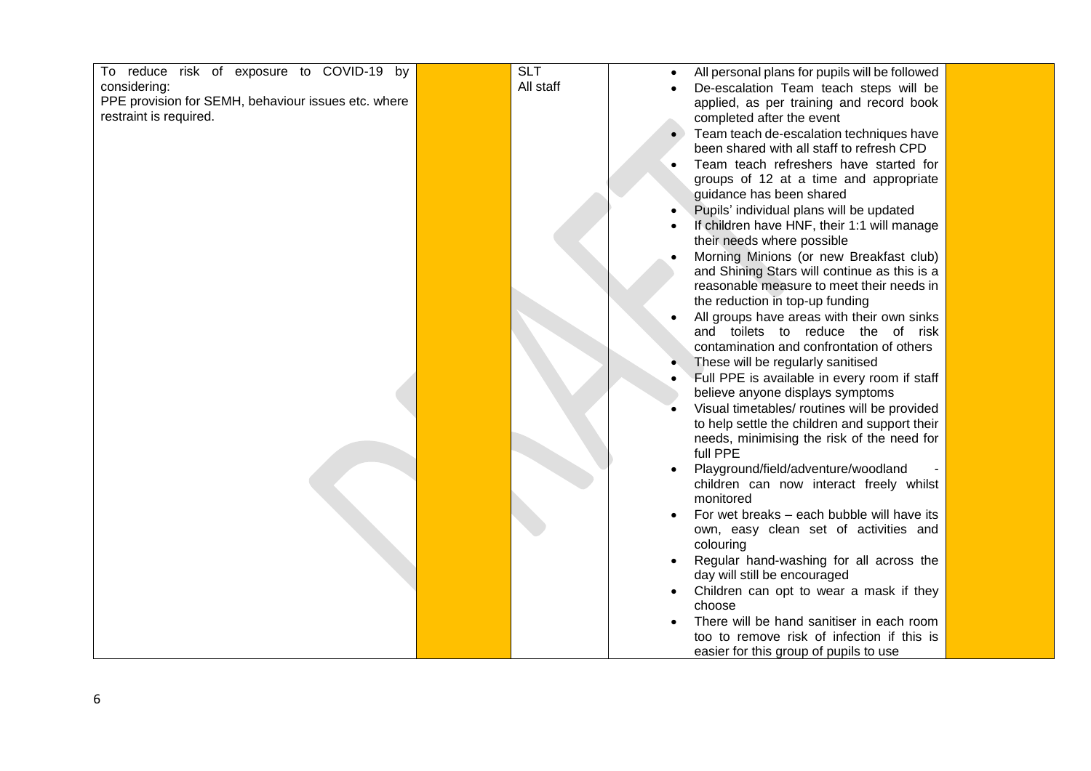| To reduce risk of exposure to COVID-19 by           | <b>SLT</b> | All personal plans for pupils will be followed |  |
|-----------------------------------------------------|------------|------------------------------------------------|--|
| considering:                                        | All staff  | De-escalation Team teach steps will be         |  |
| PPE provision for SEMH, behaviour issues etc. where |            |                                                |  |
| restraint is required.                              |            | applied, as per training and record book       |  |
|                                                     |            | completed after the event                      |  |
|                                                     |            | Team teach de-escalation techniques have       |  |
|                                                     |            | been shared with all staff to refresh CPD      |  |
|                                                     |            | Team teach refreshers have started for         |  |
|                                                     |            | groups of 12 at a time and appropriate         |  |
|                                                     |            | guidance has been shared                       |  |
|                                                     |            | Pupils' individual plans will be updated       |  |
|                                                     |            | If children have HNF, their 1:1 will manage    |  |
|                                                     |            | their needs where possible                     |  |
|                                                     |            | Morning Minions (or new Breakfast club)        |  |
|                                                     |            | and Shining Stars will continue as this is a   |  |
|                                                     |            | reasonable measure to meet their needs in      |  |
|                                                     |            | the reduction in top-up funding                |  |
|                                                     |            | All groups have areas with their own sinks     |  |
|                                                     |            | and toilets to reduce the of risk              |  |
|                                                     |            | contamination and confrontation of others      |  |
|                                                     |            | These will be regularly sanitised              |  |
|                                                     |            | Full PPE is available in every room if staff   |  |
|                                                     |            | believe anyone displays symptoms               |  |
|                                                     |            | Visual timetables/ routines will be provided   |  |
|                                                     |            | to help settle the children and support their  |  |
|                                                     |            | needs, minimising the risk of the need for     |  |
|                                                     |            | full PPE                                       |  |
|                                                     |            | Playground/field/adventure/woodland            |  |
|                                                     |            | children can now interact freely whilst        |  |
|                                                     |            | monitored                                      |  |
|                                                     |            |                                                |  |
|                                                     |            | For wet breaks - each bubble will have its     |  |
|                                                     |            | own, easy clean set of activities and          |  |
|                                                     |            | colouring                                      |  |
|                                                     |            | Regular hand-washing for all across the        |  |
|                                                     |            | day will still be encouraged                   |  |
|                                                     |            | Children can opt to wear a mask if they        |  |
|                                                     |            | choose                                         |  |
|                                                     |            | There will be hand sanitiser in each room      |  |
|                                                     |            | too to remove risk of infection if this is     |  |
|                                                     |            | easier for this group of pupils to use         |  |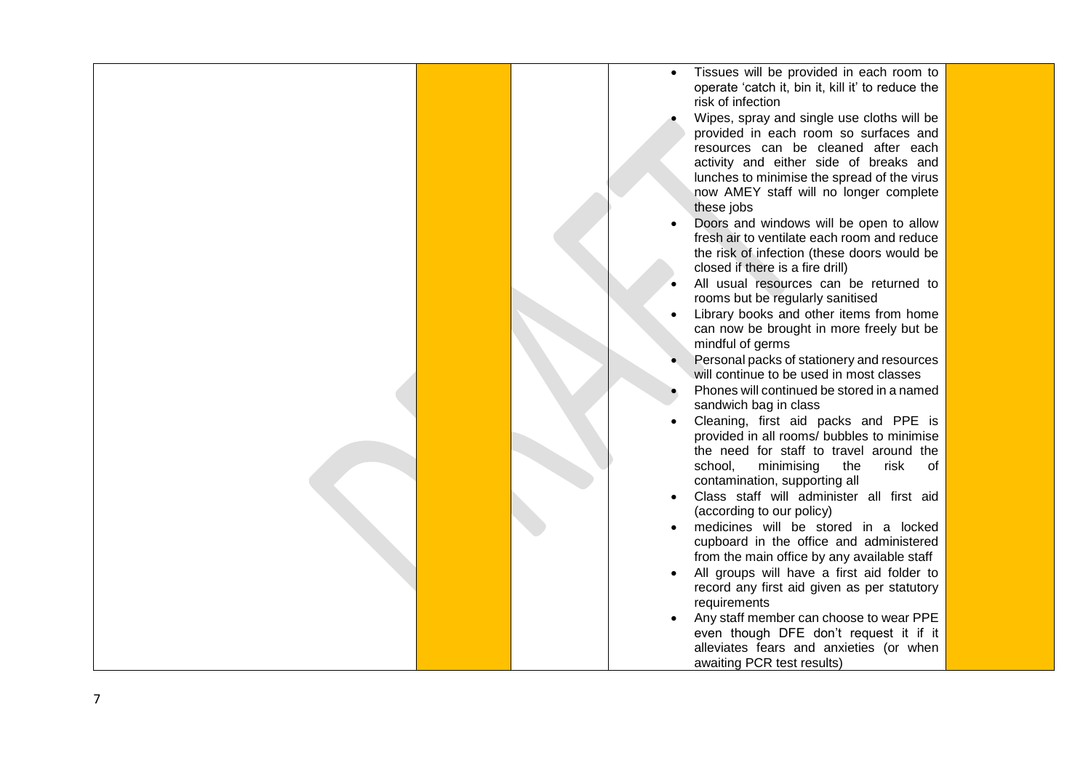- Tissues will be provided in each room to operate 'catch it, bin it, kill it' to reduce the risk of infection
- Wipes, spray and single use cloths will be provided in each room so surfaces and resources can be cleaned after each activity and either side of breaks and lunches to minimise the spread of the virus now AMEY staff will no longer complete these jobs
- Doors and windows will be open to allow fresh air to ventilate each room and reduce the risk of infection (these doors would be closed if there is a fire drill)
- All usual resources can be returned to rooms but be regularly sanitised
- Library books and other items from home can now be brought in more freely but be mindful of germs
- Personal packs of stationery and resources will continue to be used in most classes
- Phones will continued be stored in a named sandwich ba g in class
- Cleaning, first aid packs and PPE is provided in all rooms/ bubbles to minimise the need for staff to travel around the school, minimising the risk of contamination, supporting all
- Class staff will administer all first aid (according to our policy)
- medicines will be stored in a locked cupboard in the office and administered from the main office by any available staff
- All groups will have a first aid folder to record any first aid given as per statutory requirements
- Any staff member can choose to wear PPE even though DFE don't request it if it alleviates fears and anxieties (or when awaiting PCR test results)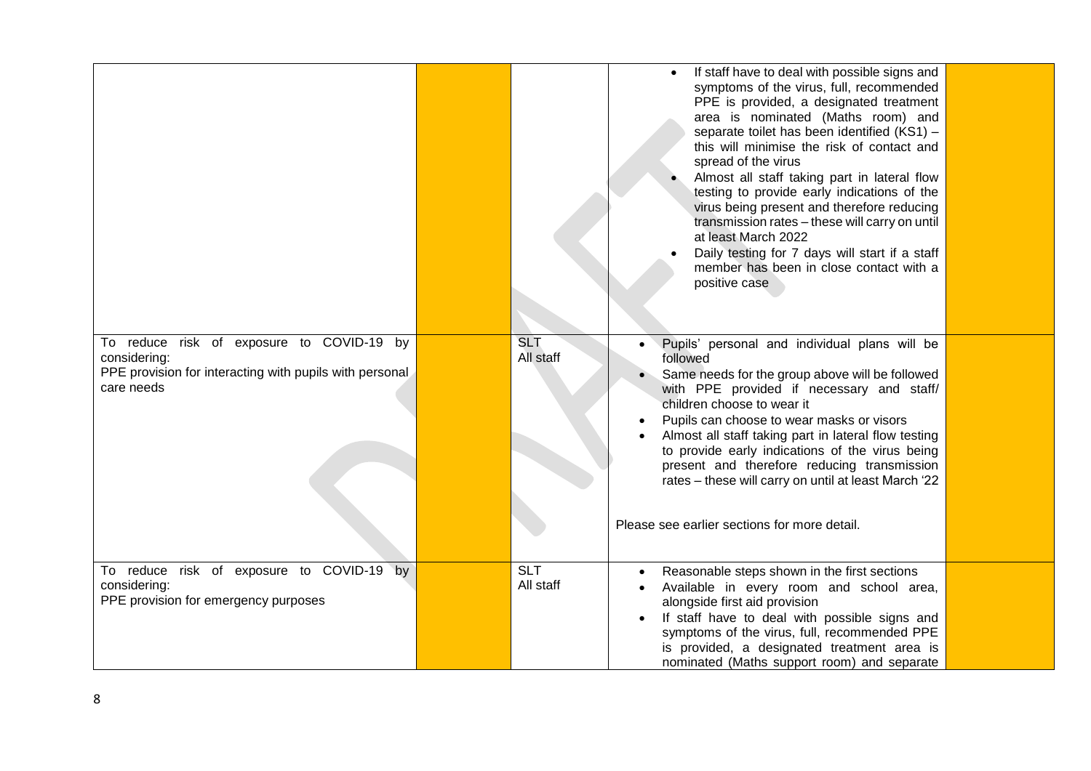|                                                                                                                                    |                                      | If staff have to deal with possible signs and<br>symptoms of the virus, full, recommended<br>PPE is provided, a designated treatment<br>area is nominated (Maths room) and<br>separate toilet has been identified (KS1) -<br>this will minimise the risk of contact and<br>spread of the virus<br>Almost all staff taking part in lateral flow<br>testing to provide early indications of the<br>virus being present and therefore reducing<br>transmission rates - these will carry on until<br>at least March 2022<br>Daily testing for 7 days will start if a staff<br>member has been in close contact with a<br>positive case |  |
|------------------------------------------------------------------------------------------------------------------------------------|--------------------------------------|------------------------------------------------------------------------------------------------------------------------------------------------------------------------------------------------------------------------------------------------------------------------------------------------------------------------------------------------------------------------------------------------------------------------------------------------------------------------------------------------------------------------------------------------------------------------------------------------------------------------------------|--|
| To reduce risk of exposure to COVID-19 by<br>considering:<br>PPE provision for interacting with pupils with personal<br>care needs | <b>SLT</b><br>All staff              | Pupils' personal and individual plans will be<br>followed<br>Same needs for the group above will be followed<br>with PPE provided if necessary and staff/<br>children choose to wear it<br>Pupils can choose to wear masks or visors<br>Almost all staff taking part in lateral flow testing<br>to provide early indications of the virus being<br>present and therefore reducing transmission<br>rates - these will carry on until at least March '22<br>Please see earlier sections for more detail.                                                                                                                             |  |
| To reduce risk of exposure to COVID-19 by<br>considering:<br>PPE provision for emergency purposes                                  | $\overline{\text{SLT}}$<br>All staff | Reasonable steps shown in the first sections<br>Available in every room and school area,<br>alongside first aid provision<br>If staff have to deal with possible signs and<br>symptoms of the virus, full, recommended PPE<br>is provided, a designated treatment area is<br>nominated (Maths support room) and separate                                                                                                                                                                                                                                                                                                           |  |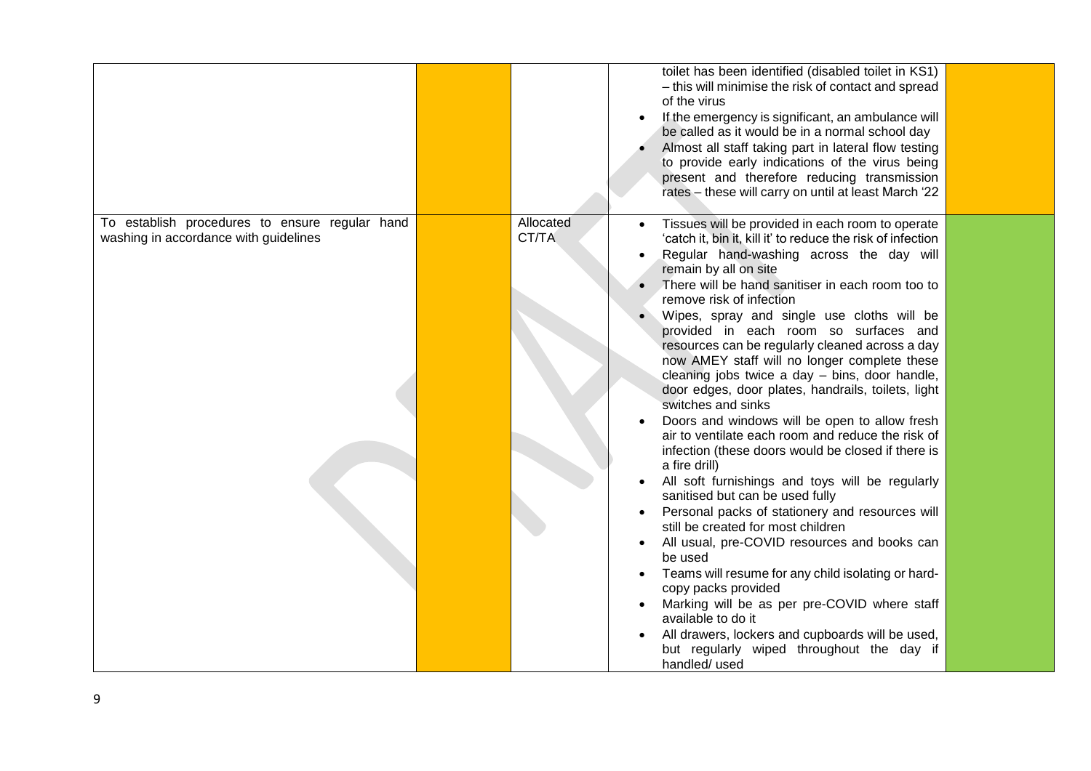|                                                |           | toilet has been identified (disabled toilet in KS1)             |  |
|------------------------------------------------|-----------|-----------------------------------------------------------------|--|
|                                                |           | - this will minimise the risk of contact and spread             |  |
|                                                |           | of the virus                                                    |  |
|                                                |           |                                                                 |  |
|                                                |           | If the emergency is significant, an ambulance will              |  |
|                                                |           | be called as it would be in a normal school day                 |  |
|                                                |           | Almost all staff taking part in lateral flow testing            |  |
|                                                |           | to provide early indications of the virus being                 |  |
|                                                |           |                                                                 |  |
|                                                |           | present and therefore reducing transmission                     |  |
|                                                |           | rates - these will carry on until at least March '22            |  |
|                                                |           |                                                                 |  |
| To establish procedures to ensure regular hand | Allocated | Tissues will be provided in each room to operate                |  |
| washing in accordance with guidelines          | CT/TA     | 'catch it, bin it, kill it' to reduce the risk of infection     |  |
|                                                |           | Regular hand-washing across the day will                        |  |
|                                                |           | remain by all on site                                           |  |
|                                                |           | There will be hand sanitiser in each room too to                |  |
|                                                |           | remove risk of infection                                        |  |
|                                                |           |                                                                 |  |
|                                                |           | Wipes, spray and single use cloths will be                      |  |
|                                                |           | provided in each room so surfaces and                           |  |
|                                                |           | resources can be regularly cleaned across a day                 |  |
|                                                |           | now AMEY staff will no longer complete these                    |  |
|                                                |           | cleaning jobs twice a day - bins, door handle,                  |  |
|                                                |           | door edges, door plates, handrails, toilets, light              |  |
|                                                |           | switches and sinks                                              |  |
|                                                |           |                                                                 |  |
|                                                |           | Doors and windows will be open to allow fresh                   |  |
|                                                |           | air to ventilate each room and reduce the risk of               |  |
|                                                |           | infection (these doors would be closed if there is              |  |
|                                                |           | a fire drill)                                                   |  |
|                                                |           | All soft furnishings and toys will be regularly                 |  |
|                                                |           | sanitised but can be used fully                                 |  |
|                                                |           | Personal packs of stationery and resources will                 |  |
|                                                |           | still be created for most children                              |  |
|                                                |           | All usual, pre-COVID resources and books can<br>$\bullet$       |  |
|                                                |           | be used                                                         |  |
|                                                |           | Teams will resume for any child isolating or hard-<br>$\bullet$ |  |
|                                                |           | copy packs provided                                             |  |
|                                                |           | Marking will be as per pre-COVID where staff                    |  |
|                                                |           | available to do it                                              |  |
|                                                |           | All drawers, lockers and cupboards will be used,                |  |
|                                                |           | but regularly wiped throughout the day if                       |  |
|                                                |           | handled/ used                                                   |  |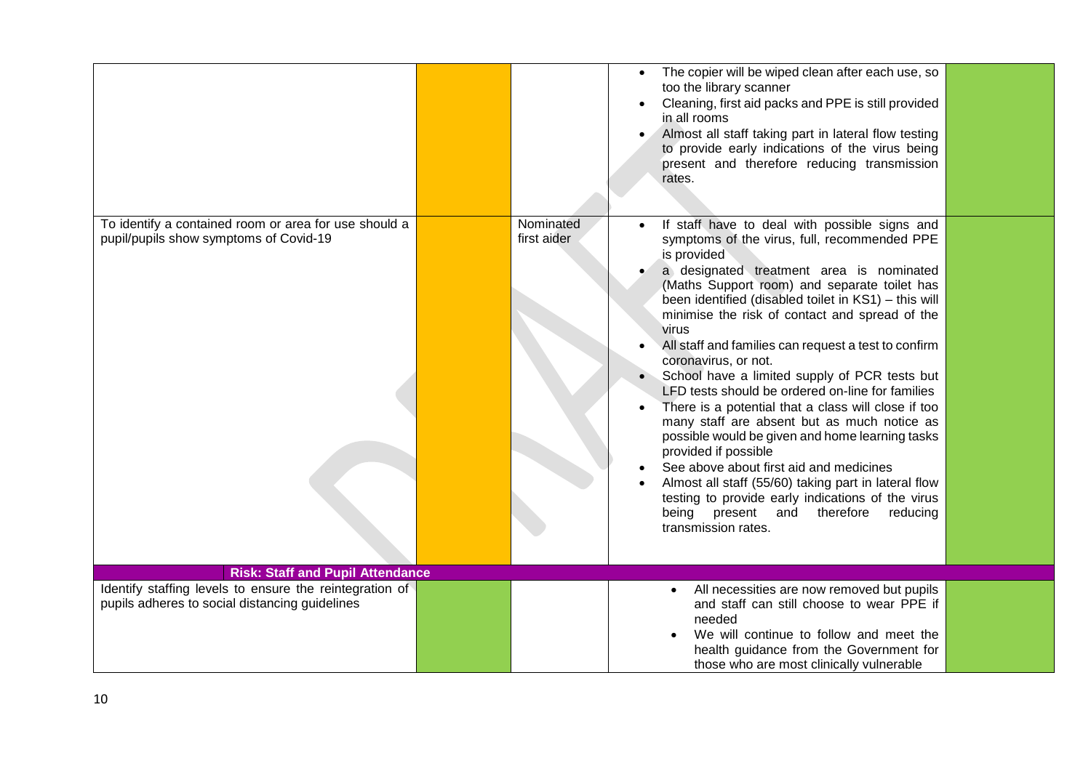|                                                                                                           |                          | The copier will be wiped clean after each use, so<br>too the library scanner<br>Cleaning, first aid packs and PPE is still provided<br>in all rooms<br>Almost all staff taking part in lateral flow testing<br>to provide early indications of the virus being<br>present and therefore reducing transmission<br>rates.                                                                                                                                                                                                                                                                                                                                                                                                                                                                                                                                                                                                     |  |
|-----------------------------------------------------------------------------------------------------------|--------------------------|-----------------------------------------------------------------------------------------------------------------------------------------------------------------------------------------------------------------------------------------------------------------------------------------------------------------------------------------------------------------------------------------------------------------------------------------------------------------------------------------------------------------------------------------------------------------------------------------------------------------------------------------------------------------------------------------------------------------------------------------------------------------------------------------------------------------------------------------------------------------------------------------------------------------------------|--|
| To identify a contained room or area for use should a<br>pupil/pupils show symptoms of Covid-19           | Nominated<br>first aider | If staff have to deal with possible signs and<br>symptoms of the virus, full, recommended PPE<br>is provided<br>a designated treatment area is nominated<br>(Maths Support room) and separate toilet has<br>been identified (disabled toilet in KS1) - this will<br>minimise the risk of contact and spread of the<br>virus<br>All staff and families can request a test to confirm<br>coronavirus, or not.<br>School have a limited supply of PCR tests but<br>LFD tests should be ordered on-line for families<br>There is a potential that a class will close if too<br>many staff are absent but as much notice as<br>possible would be given and home learning tasks<br>provided if possible<br>See above about first aid and medicines<br>Almost all staff (55/60) taking part in lateral flow<br>testing to provide early indications of the virus<br>being present and therefore<br>reducing<br>transmission rates. |  |
| <b>Risk: Staff and Pupil Attendance</b>                                                                   |                          |                                                                                                                                                                                                                                                                                                                                                                                                                                                                                                                                                                                                                                                                                                                                                                                                                                                                                                                             |  |
| Identify staffing levels to ensure the reintegration of<br>pupils adheres to social distancing guidelines |                          | All necessities are now removed but pupils<br>and staff can still choose to wear PPE if<br>needed<br>We will continue to follow and meet the<br>health guidance from the Government for<br>those who are most clinically vulnerable                                                                                                                                                                                                                                                                                                                                                                                                                                                                                                                                                                                                                                                                                         |  |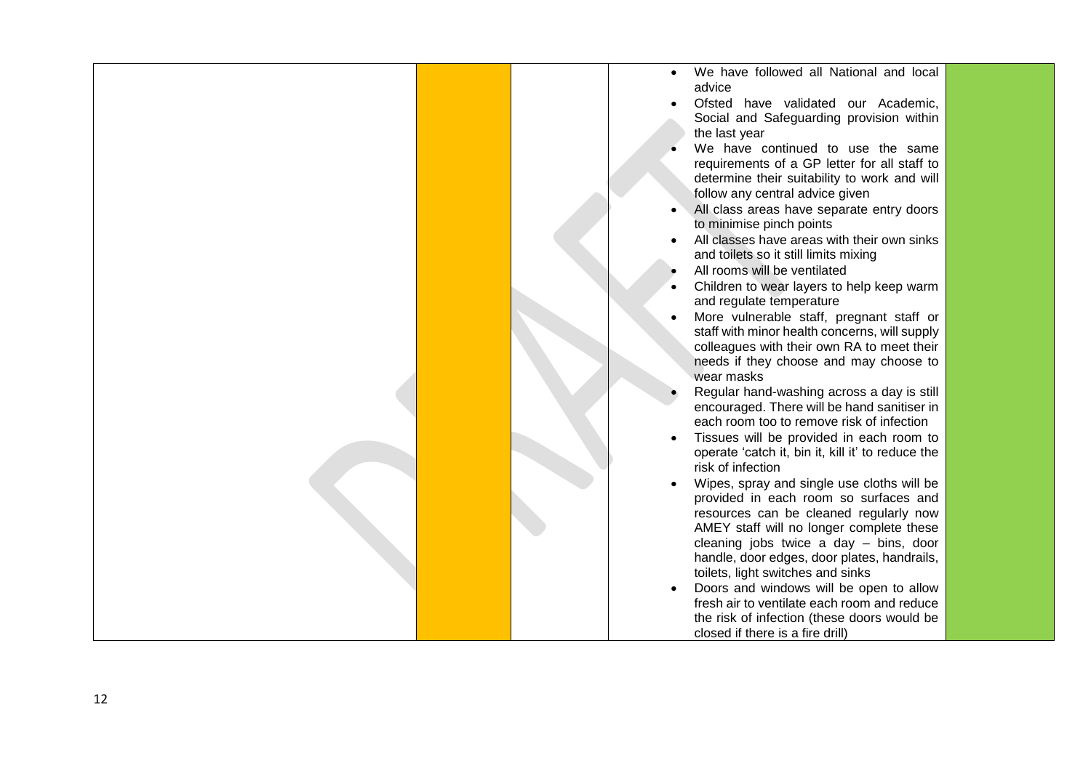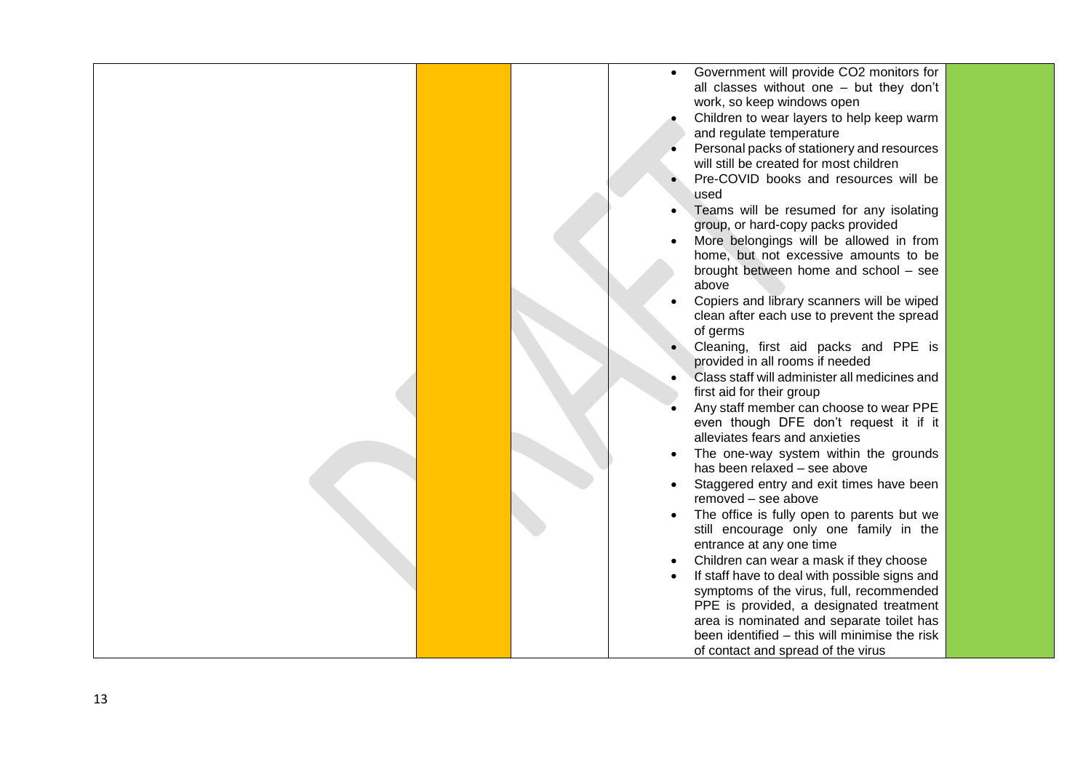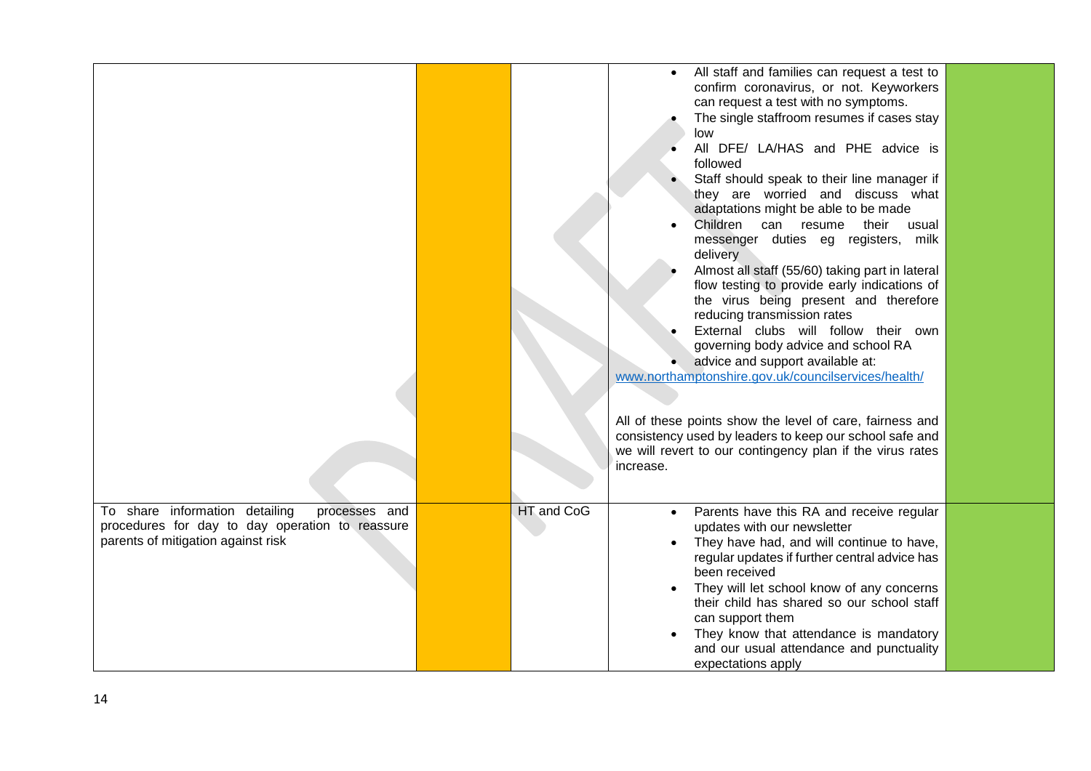|                                                                                                                                          |            | All staff and families can request a test to<br>$\bullet$<br>confirm coronavirus, or not. Keyworkers<br>can request a test with no symptoms.<br>The single staffroom resumes if cases stay<br>low<br>All DFE/ LA/HAS and PHE advice is<br>followed<br>Staff should speak to their line manager if<br>they are worried and discuss what<br>adaptations might be able to be made<br>Children<br>their usual<br>can resume<br>messenger duties eg registers, milk<br>delivery<br>Almost all staff (55/60) taking part in lateral<br>flow testing to provide early indications of<br>the virus being present and therefore<br>reducing transmission rates<br>External clubs will follow their own<br>governing body advice and school RA<br>advice and support available at:<br>www.northamptonshire.gov.uk/councilservices/health/ |  |
|------------------------------------------------------------------------------------------------------------------------------------------|------------|---------------------------------------------------------------------------------------------------------------------------------------------------------------------------------------------------------------------------------------------------------------------------------------------------------------------------------------------------------------------------------------------------------------------------------------------------------------------------------------------------------------------------------------------------------------------------------------------------------------------------------------------------------------------------------------------------------------------------------------------------------------------------------------------------------------------------------|--|
|                                                                                                                                          |            | All of these points show the level of care, fairness and<br>consistency used by leaders to keep our school safe and<br>we will revert to our contingency plan if the virus rates<br>increase.                                                                                                                                                                                                                                                                                                                                                                                                                                                                                                                                                                                                                                   |  |
| To share information detailing<br>processes and<br>procedures for day to day operation to reassure<br>parents of mitigation against risk | HT and CoG | Parents have this RA and receive regular<br>updates with our newsletter<br>They have had, and will continue to have,<br>regular updates if further central advice has<br>been received<br>They will let school know of any concerns<br>their child has shared so our school staff<br>can support them<br>They know that attendance is mandatory<br>and our usual attendance and punctuality<br>expectations apply                                                                                                                                                                                                                                                                                                                                                                                                               |  |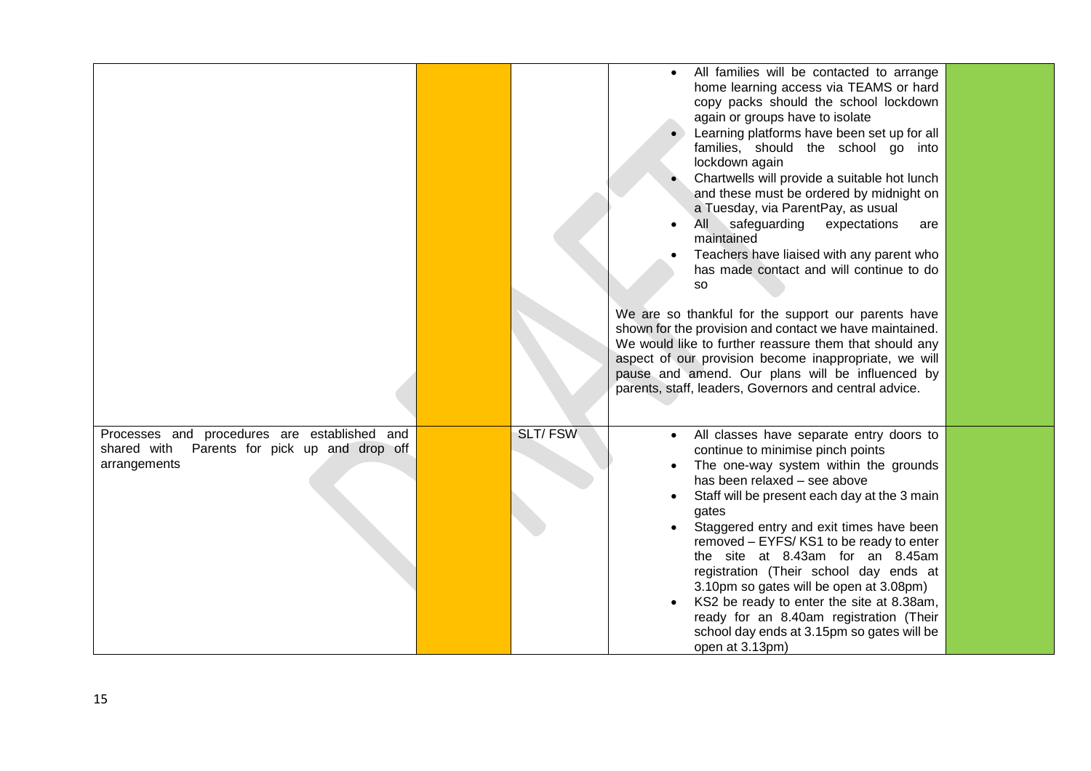|                                                                                                                 |                | All families will be contacted to arrange<br>home learning access via TEAMS or hard<br>copy packs should the school lockdown<br>again or groups have to isolate<br>Learning platforms have been set up for all<br>families, should the school go into<br>lockdown again<br>Chartwells will provide a suitable hot lunch<br>and these must be ordered by midnight on<br>a Tuesday, via ParentPay, as usual<br>safeguarding<br>All<br>expectations<br>are<br>maintained<br>Teachers have liaised with any parent who<br>has made contact and will continue to do<br><b>SO</b><br>We are so thankful for the support our parents have<br>shown for the provision and contact we have maintained.<br>We would like to further reassure them that should any<br>aspect of our provision become inappropriate, we will<br>pause and amend. Our plans will be influenced by<br>parents, staff, leaders, Governors and central advice. |  |
|-----------------------------------------------------------------------------------------------------------------|----------------|--------------------------------------------------------------------------------------------------------------------------------------------------------------------------------------------------------------------------------------------------------------------------------------------------------------------------------------------------------------------------------------------------------------------------------------------------------------------------------------------------------------------------------------------------------------------------------------------------------------------------------------------------------------------------------------------------------------------------------------------------------------------------------------------------------------------------------------------------------------------------------------------------------------------------------|--|
| Processes and procedures are established and<br>shared with<br>Parents for pick up and drop off<br>arrangements | <b>SLT/FSW</b> | All classes have separate entry doors to<br>continue to minimise pinch points<br>The one-way system within the grounds<br>has been relaxed - see above<br>Staff will be present each day at the 3 main<br>gates<br>Staggered entry and exit times have been<br>removed - EYFS/KS1 to be ready to enter<br>the site at 8.43am for an 8.45am<br>registration (Their school day ends at<br>3.10pm so gates will be open at 3.08pm)<br>KS2 be ready to enter the site at 8.38am,<br>ready for an 8.40am registration (Their<br>school day ends at 3.15pm so gates will be<br>open at 3.13pm)                                                                                                                                                                                                                                                                                                                                       |  |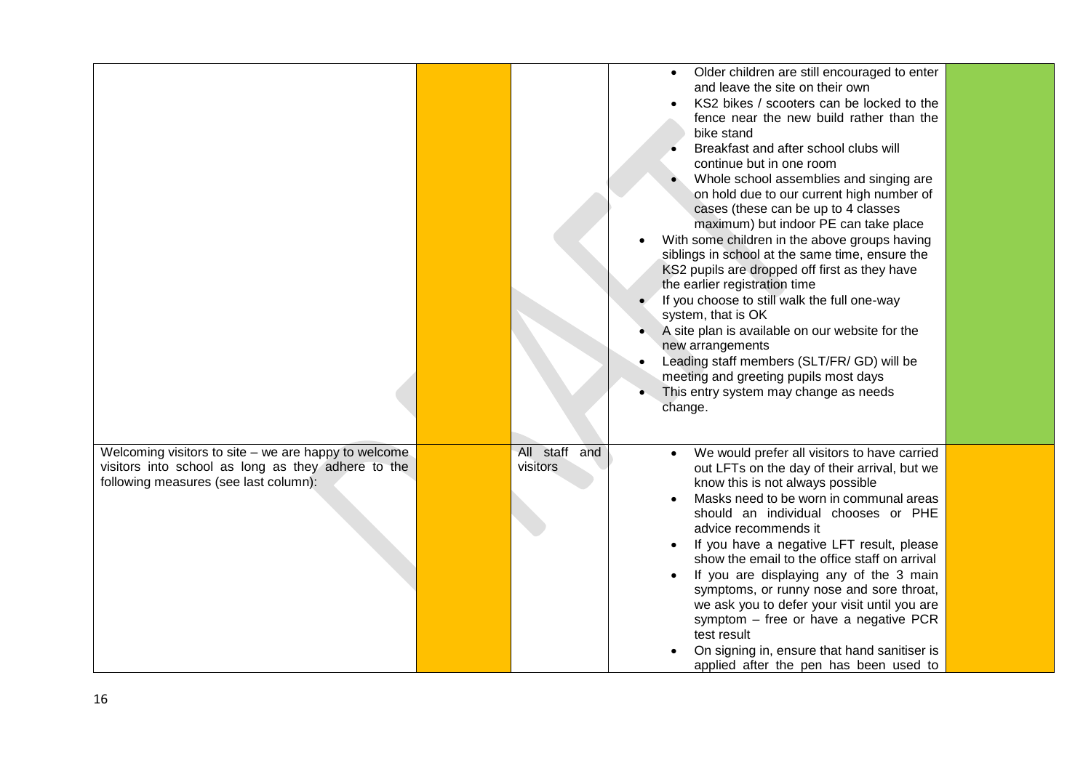|                                                      |                  | Older children are still encouraged to enter                                             |  |
|------------------------------------------------------|------------------|------------------------------------------------------------------------------------------|--|
|                                                      |                  | and leave the site on their own                                                          |  |
|                                                      |                  | KS2 bikes / scooters can be locked to the                                                |  |
|                                                      |                  | fence near the new build rather than the                                                 |  |
|                                                      |                  | bike stand                                                                               |  |
|                                                      |                  | Breakfast and after school clubs will                                                    |  |
|                                                      |                  | continue but in one room                                                                 |  |
|                                                      |                  | Whole school assemblies and singing are                                                  |  |
|                                                      |                  | on hold due to our current high number of                                                |  |
|                                                      |                  | cases (these can be up to 4 classes                                                      |  |
|                                                      |                  | maximum) but indoor PE can take place                                                    |  |
|                                                      |                  | With some children in the above groups having                                            |  |
|                                                      |                  | siblings in school at the same time, ensure the                                          |  |
|                                                      |                  | KS2 pupils are dropped off first as they have                                            |  |
|                                                      |                  | the earlier registration time                                                            |  |
|                                                      |                  | If you choose to still walk the full one-way<br>system, that is OK                       |  |
|                                                      |                  | A site plan is available on our website for the                                          |  |
|                                                      |                  | new arrangements                                                                         |  |
|                                                      |                  | Leading staff members (SLT/FR/ GD) will be                                               |  |
|                                                      |                  | meeting and greeting pupils most days                                                    |  |
|                                                      |                  | This entry system may change as needs                                                    |  |
|                                                      |                  | change.                                                                                  |  |
|                                                      |                  |                                                                                          |  |
|                                                      |                  |                                                                                          |  |
| Welcoming visitors to site – we are happy to welcome | All staff<br>and | We would prefer all visitors to have carried                                             |  |
| visitors into school as long as they adhere to the   | visitors         | out LFTs on the day of their arrival, but we                                             |  |
| following measures (see last column):                |                  | know this is not always possible                                                         |  |
|                                                      |                  | Masks need to be worn in communal areas                                                  |  |
|                                                      |                  | should an individual chooses or PHE                                                      |  |
|                                                      |                  | advice recommends it                                                                     |  |
|                                                      |                  | If you have a negative LFT result, please                                                |  |
|                                                      |                  | show the email to the office staff on arrival                                            |  |
|                                                      |                  | If you are displaying any of the 3 main                                                  |  |
|                                                      |                  | symptoms, or runny nose and sore throat,<br>we ask you to defer your visit until you are |  |
|                                                      |                  | symptom - free or have a negative PCR                                                    |  |
|                                                      |                  | test result                                                                              |  |
|                                                      |                  | On signing in, ensure that hand sanitiser is                                             |  |
|                                                      |                  | applied after the pen has been used to                                                   |  |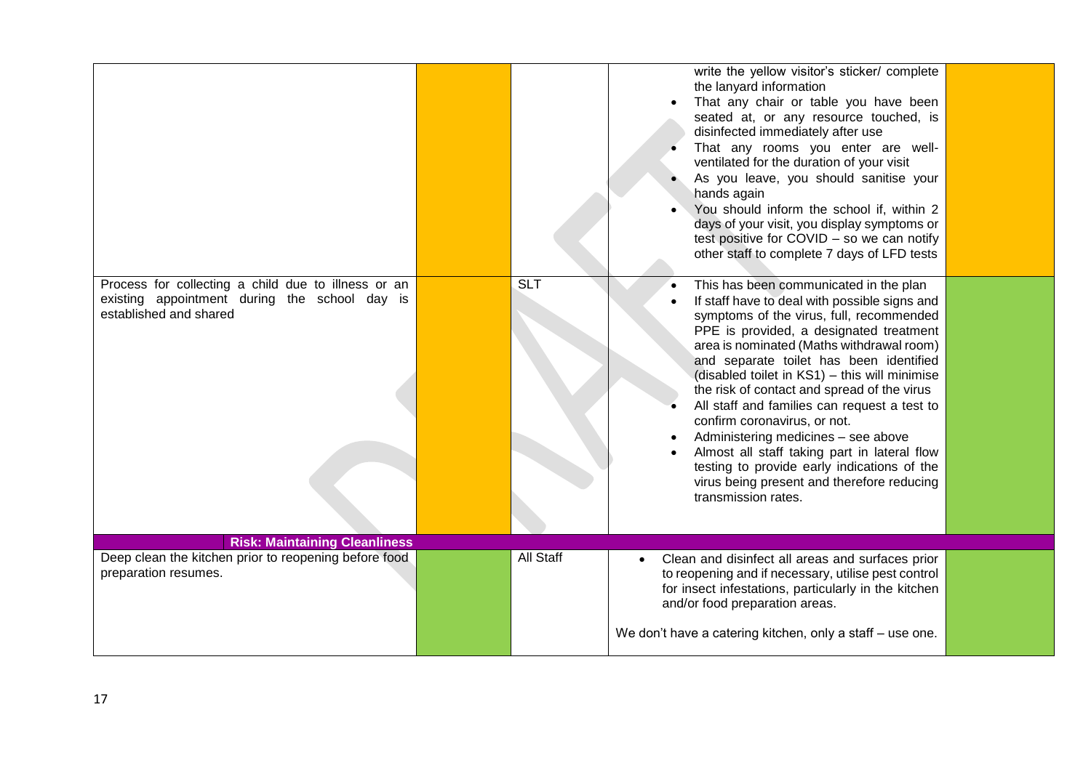|                                                                                                                                |                  | write the yellow visitor's sticker/ complete<br>the lanyard information<br>That any chair or table you have been<br>seated at, or any resource touched, is<br>disinfected immediately after use<br>That any rooms you enter are well-<br>ventilated for the duration of your visit<br>As you leave, you should sanitise your<br>hands again<br>You should inform the school if, within 2<br>days of your visit, you display symptoms or<br>test positive for COVID - so we can notify<br>other staff to complete 7 days of LFD tests                                                                                                                              |  |
|--------------------------------------------------------------------------------------------------------------------------------|------------------|-------------------------------------------------------------------------------------------------------------------------------------------------------------------------------------------------------------------------------------------------------------------------------------------------------------------------------------------------------------------------------------------------------------------------------------------------------------------------------------------------------------------------------------------------------------------------------------------------------------------------------------------------------------------|--|
| Process for collecting a child due to illness or an<br>existing appointment during the school day is<br>established and shared | <b>SLT</b>       | This has been communicated in the plan<br>If staff have to deal with possible signs and<br>symptoms of the virus, full, recommended<br>PPE is provided, a designated treatment<br>area is nominated (Maths withdrawal room)<br>and separate toilet has been identified<br>(disabled toilet in KS1) - this will minimise<br>the risk of contact and spread of the virus<br>All staff and families can request a test to<br>confirm coronavirus, or not.<br>Administering medicines - see above<br>Almost all staff taking part in lateral flow<br>testing to provide early indications of the<br>virus being present and therefore reducing<br>transmission rates. |  |
| <b>Risk: Maintaining Cleanliness</b>                                                                                           |                  |                                                                                                                                                                                                                                                                                                                                                                                                                                                                                                                                                                                                                                                                   |  |
| Deep clean the kitchen prior to reopening before food<br>preparation resumes.                                                  | <b>All Staff</b> | Clean and disinfect all areas and surfaces prior<br>$\bullet$<br>to reopening and if necessary, utilise pest control<br>for insect infestations, particularly in the kitchen<br>and/or food preparation areas.<br>We don't have a catering kitchen, only a staff - use one.                                                                                                                                                                                                                                                                                                                                                                                       |  |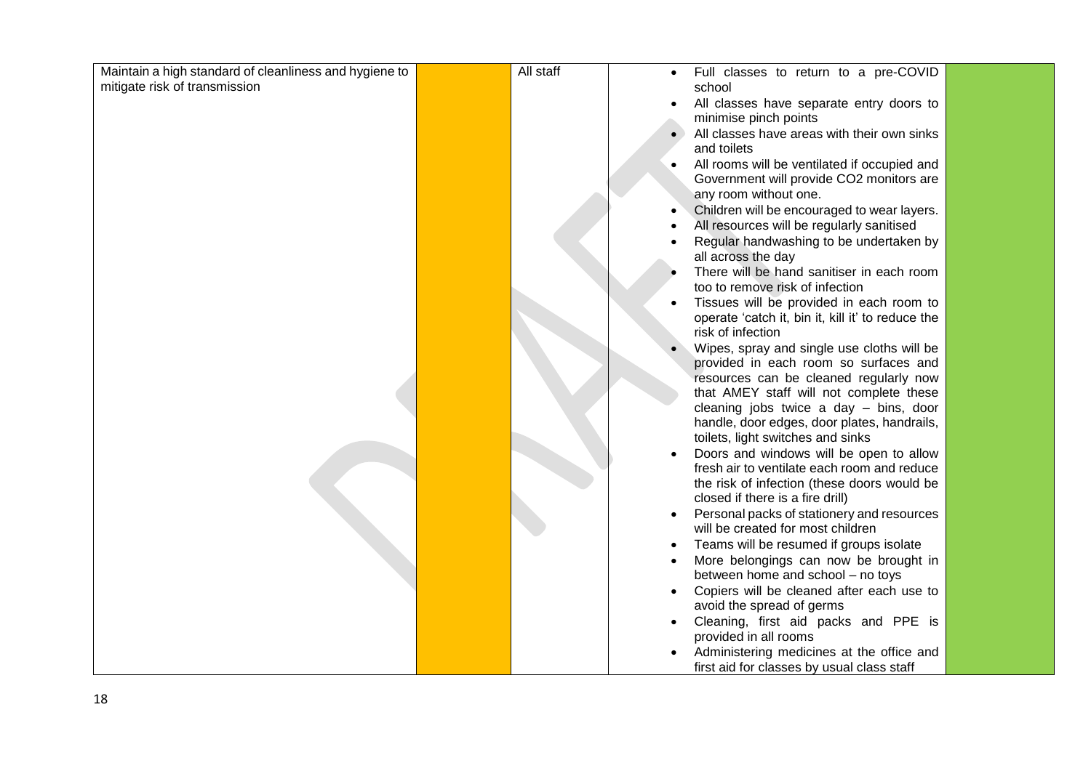| mitigate risk of transmission<br>school<br>All classes have separate entry doors to<br>minimise pinch points<br>All classes have areas with their own sinks<br>and toilets<br>All rooms will be ventilated if occupied and<br>$\bullet$<br>Government will provide CO2 monitors are<br>any room without one.<br>Children will be encouraged to wear layers.<br>All resources will be regularly sanitised<br>Regular handwashing to be undertaken by<br>all across the day<br>There will be hand sanitiser in each room<br>too to remove risk of infection<br>Tissues will be provided in each room to<br>operate 'catch it, bin it, kill it' to reduce the<br>risk of infection<br>Wipes, spray and single use cloths will be<br>provided in each room so surfaces and<br>resources can be cleaned regularly now<br>that AMEY staff will not complete these<br>cleaning jobs twice a day - bins, door<br>handle, door edges, door plates, handrails,<br>toilets, light switches and sinks<br>Doors and windows will be open to allow<br>fresh air to ventilate each room and reduce<br>the risk of infection (these doors would be<br>closed if there is a fire drill)<br>Personal packs of stationery and resources<br>$\bullet$<br>will be created for most children<br>Teams will be resumed if groups isolate<br>More belongings can now be brought in<br>between home and school - no toys<br>Copiers will be cleaned after each use to<br>avoid the spread of germs<br>Cleaning, first aid packs and PPE is<br>provided in all rooms<br>Administering medicines at the office and | Maintain a high standard of cleanliness and hygiene to | All staff | Full classes to return to a pre-COVID<br>$\bullet$ |
|-----------------------------------------------------------------------------------------------------------------------------------------------------------------------------------------------------------------------------------------------------------------------------------------------------------------------------------------------------------------------------------------------------------------------------------------------------------------------------------------------------------------------------------------------------------------------------------------------------------------------------------------------------------------------------------------------------------------------------------------------------------------------------------------------------------------------------------------------------------------------------------------------------------------------------------------------------------------------------------------------------------------------------------------------------------------------------------------------------------------------------------------------------------------------------------------------------------------------------------------------------------------------------------------------------------------------------------------------------------------------------------------------------------------------------------------------------------------------------------------------------------------------------------------------------------------------------------------|--------------------------------------------------------|-----------|----------------------------------------------------|
|                                                                                                                                                                                                                                                                                                                                                                                                                                                                                                                                                                                                                                                                                                                                                                                                                                                                                                                                                                                                                                                                                                                                                                                                                                                                                                                                                                                                                                                                                                                                                                                         |                                                        |           |                                                    |
|                                                                                                                                                                                                                                                                                                                                                                                                                                                                                                                                                                                                                                                                                                                                                                                                                                                                                                                                                                                                                                                                                                                                                                                                                                                                                                                                                                                                                                                                                                                                                                                         |                                                        |           |                                                    |
|                                                                                                                                                                                                                                                                                                                                                                                                                                                                                                                                                                                                                                                                                                                                                                                                                                                                                                                                                                                                                                                                                                                                                                                                                                                                                                                                                                                                                                                                                                                                                                                         |                                                        |           |                                                    |
|                                                                                                                                                                                                                                                                                                                                                                                                                                                                                                                                                                                                                                                                                                                                                                                                                                                                                                                                                                                                                                                                                                                                                                                                                                                                                                                                                                                                                                                                                                                                                                                         |                                                        |           |                                                    |
|                                                                                                                                                                                                                                                                                                                                                                                                                                                                                                                                                                                                                                                                                                                                                                                                                                                                                                                                                                                                                                                                                                                                                                                                                                                                                                                                                                                                                                                                                                                                                                                         |                                                        |           |                                                    |
|                                                                                                                                                                                                                                                                                                                                                                                                                                                                                                                                                                                                                                                                                                                                                                                                                                                                                                                                                                                                                                                                                                                                                                                                                                                                                                                                                                                                                                                                                                                                                                                         |                                                        |           |                                                    |
|                                                                                                                                                                                                                                                                                                                                                                                                                                                                                                                                                                                                                                                                                                                                                                                                                                                                                                                                                                                                                                                                                                                                                                                                                                                                                                                                                                                                                                                                                                                                                                                         |                                                        |           |                                                    |
|                                                                                                                                                                                                                                                                                                                                                                                                                                                                                                                                                                                                                                                                                                                                                                                                                                                                                                                                                                                                                                                                                                                                                                                                                                                                                                                                                                                                                                                                                                                                                                                         |                                                        |           |                                                    |
|                                                                                                                                                                                                                                                                                                                                                                                                                                                                                                                                                                                                                                                                                                                                                                                                                                                                                                                                                                                                                                                                                                                                                                                                                                                                                                                                                                                                                                                                                                                                                                                         |                                                        |           |                                                    |
|                                                                                                                                                                                                                                                                                                                                                                                                                                                                                                                                                                                                                                                                                                                                                                                                                                                                                                                                                                                                                                                                                                                                                                                                                                                                                                                                                                                                                                                                                                                                                                                         |                                                        |           |                                                    |
|                                                                                                                                                                                                                                                                                                                                                                                                                                                                                                                                                                                                                                                                                                                                                                                                                                                                                                                                                                                                                                                                                                                                                                                                                                                                                                                                                                                                                                                                                                                                                                                         |                                                        |           |                                                    |
|                                                                                                                                                                                                                                                                                                                                                                                                                                                                                                                                                                                                                                                                                                                                                                                                                                                                                                                                                                                                                                                                                                                                                                                                                                                                                                                                                                                                                                                                                                                                                                                         |                                                        |           |                                                    |
|                                                                                                                                                                                                                                                                                                                                                                                                                                                                                                                                                                                                                                                                                                                                                                                                                                                                                                                                                                                                                                                                                                                                                                                                                                                                                                                                                                                                                                                                                                                                                                                         |                                                        |           |                                                    |
|                                                                                                                                                                                                                                                                                                                                                                                                                                                                                                                                                                                                                                                                                                                                                                                                                                                                                                                                                                                                                                                                                                                                                                                                                                                                                                                                                                                                                                                                                                                                                                                         |                                                        |           |                                                    |
|                                                                                                                                                                                                                                                                                                                                                                                                                                                                                                                                                                                                                                                                                                                                                                                                                                                                                                                                                                                                                                                                                                                                                                                                                                                                                                                                                                                                                                                                                                                                                                                         |                                                        |           |                                                    |
|                                                                                                                                                                                                                                                                                                                                                                                                                                                                                                                                                                                                                                                                                                                                                                                                                                                                                                                                                                                                                                                                                                                                                                                                                                                                                                                                                                                                                                                                                                                                                                                         |                                                        |           |                                                    |
|                                                                                                                                                                                                                                                                                                                                                                                                                                                                                                                                                                                                                                                                                                                                                                                                                                                                                                                                                                                                                                                                                                                                                                                                                                                                                                                                                                                                                                                                                                                                                                                         |                                                        |           |                                                    |
|                                                                                                                                                                                                                                                                                                                                                                                                                                                                                                                                                                                                                                                                                                                                                                                                                                                                                                                                                                                                                                                                                                                                                                                                                                                                                                                                                                                                                                                                                                                                                                                         |                                                        |           |                                                    |
|                                                                                                                                                                                                                                                                                                                                                                                                                                                                                                                                                                                                                                                                                                                                                                                                                                                                                                                                                                                                                                                                                                                                                                                                                                                                                                                                                                                                                                                                                                                                                                                         |                                                        |           |                                                    |
|                                                                                                                                                                                                                                                                                                                                                                                                                                                                                                                                                                                                                                                                                                                                                                                                                                                                                                                                                                                                                                                                                                                                                                                                                                                                                                                                                                                                                                                                                                                                                                                         |                                                        |           |                                                    |
|                                                                                                                                                                                                                                                                                                                                                                                                                                                                                                                                                                                                                                                                                                                                                                                                                                                                                                                                                                                                                                                                                                                                                                                                                                                                                                                                                                                                                                                                                                                                                                                         |                                                        |           |                                                    |
|                                                                                                                                                                                                                                                                                                                                                                                                                                                                                                                                                                                                                                                                                                                                                                                                                                                                                                                                                                                                                                                                                                                                                                                                                                                                                                                                                                                                                                                                                                                                                                                         |                                                        |           |                                                    |
|                                                                                                                                                                                                                                                                                                                                                                                                                                                                                                                                                                                                                                                                                                                                                                                                                                                                                                                                                                                                                                                                                                                                                                                                                                                                                                                                                                                                                                                                                                                                                                                         |                                                        |           |                                                    |
|                                                                                                                                                                                                                                                                                                                                                                                                                                                                                                                                                                                                                                                                                                                                                                                                                                                                                                                                                                                                                                                                                                                                                                                                                                                                                                                                                                                                                                                                                                                                                                                         |                                                        |           |                                                    |
|                                                                                                                                                                                                                                                                                                                                                                                                                                                                                                                                                                                                                                                                                                                                                                                                                                                                                                                                                                                                                                                                                                                                                                                                                                                                                                                                                                                                                                                                                                                                                                                         |                                                        |           |                                                    |
|                                                                                                                                                                                                                                                                                                                                                                                                                                                                                                                                                                                                                                                                                                                                                                                                                                                                                                                                                                                                                                                                                                                                                                                                                                                                                                                                                                                                                                                                                                                                                                                         |                                                        |           |                                                    |
|                                                                                                                                                                                                                                                                                                                                                                                                                                                                                                                                                                                                                                                                                                                                                                                                                                                                                                                                                                                                                                                                                                                                                                                                                                                                                                                                                                                                                                                                                                                                                                                         |                                                        |           |                                                    |
|                                                                                                                                                                                                                                                                                                                                                                                                                                                                                                                                                                                                                                                                                                                                                                                                                                                                                                                                                                                                                                                                                                                                                                                                                                                                                                                                                                                                                                                                                                                                                                                         |                                                        |           |                                                    |
|                                                                                                                                                                                                                                                                                                                                                                                                                                                                                                                                                                                                                                                                                                                                                                                                                                                                                                                                                                                                                                                                                                                                                                                                                                                                                                                                                                                                                                                                                                                                                                                         |                                                        |           |                                                    |
|                                                                                                                                                                                                                                                                                                                                                                                                                                                                                                                                                                                                                                                                                                                                                                                                                                                                                                                                                                                                                                                                                                                                                                                                                                                                                                                                                                                                                                                                                                                                                                                         |                                                        |           |                                                    |
|                                                                                                                                                                                                                                                                                                                                                                                                                                                                                                                                                                                                                                                                                                                                                                                                                                                                                                                                                                                                                                                                                                                                                                                                                                                                                                                                                                                                                                                                                                                                                                                         |                                                        |           |                                                    |
|                                                                                                                                                                                                                                                                                                                                                                                                                                                                                                                                                                                                                                                                                                                                                                                                                                                                                                                                                                                                                                                                                                                                                                                                                                                                                                                                                                                                                                                                                                                                                                                         |                                                        |           |                                                    |
|                                                                                                                                                                                                                                                                                                                                                                                                                                                                                                                                                                                                                                                                                                                                                                                                                                                                                                                                                                                                                                                                                                                                                                                                                                                                                                                                                                                                                                                                                                                                                                                         |                                                        |           |                                                    |
|                                                                                                                                                                                                                                                                                                                                                                                                                                                                                                                                                                                                                                                                                                                                                                                                                                                                                                                                                                                                                                                                                                                                                                                                                                                                                                                                                                                                                                                                                                                                                                                         |                                                        |           |                                                    |
|                                                                                                                                                                                                                                                                                                                                                                                                                                                                                                                                                                                                                                                                                                                                                                                                                                                                                                                                                                                                                                                                                                                                                                                                                                                                                                                                                                                                                                                                                                                                                                                         |                                                        |           |                                                    |
|                                                                                                                                                                                                                                                                                                                                                                                                                                                                                                                                                                                                                                                                                                                                                                                                                                                                                                                                                                                                                                                                                                                                                                                                                                                                                                                                                                                                                                                                                                                                                                                         |                                                        |           |                                                    |
|                                                                                                                                                                                                                                                                                                                                                                                                                                                                                                                                                                                                                                                                                                                                                                                                                                                                                                                                                                                                                                                                                                                                                                                                                                                                                                                                                                                                                                                                                                                                                                                         |                                                        |           | first aid for classes by usual class staff         |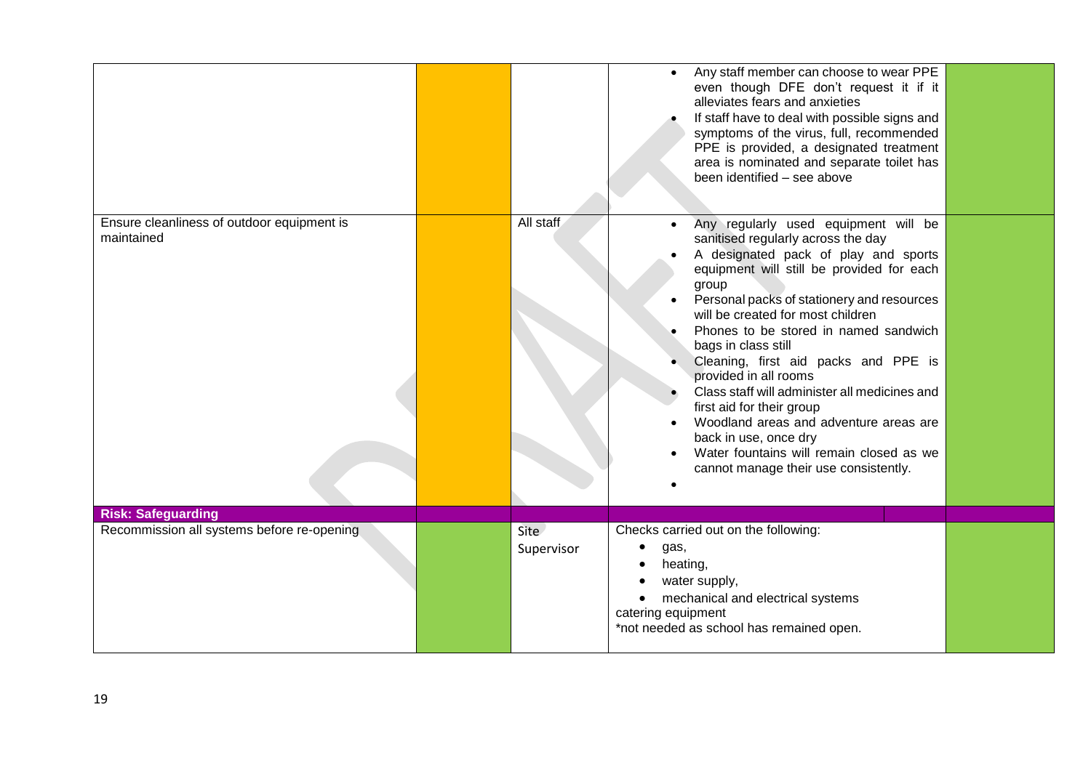|                                                          |                    | Any staff member can choose to wear PPE<br>$\bullet$<br>even though DFE don't request it if it<br>alleviates fears and anxieties<br>If staff have to deal with possible signs and<br>symptoms of the virus, full, recommended<br>PPE is provided, a designated treatment<br>area is nominated and separate toilet has<br>been identified - see above                                                                                                                                                                                                                                                                                                         |  |
|----------------------------------------------------------|--------------------|--------------------------------------------------------------------------------------------------------------------------------------------------------------------------------------------------------------------------------------------------------------------------------------------------------------------------------------------------------------------------------------------------------------------------------------------------------------------------------------------------------------------------------------------------------------------------------------------------------------------------------------------------------------|--|
| Ensure cleanliness of outdoor equipment is<br>maintained | All staff          | Any regularly used equipment will be<br>$\bullet$<br>sanitised regularly across the day<br>A designated pack of play and sports<br>equipment will still be provided for each<br>group<br>Personal packs of stationery and resources<br>$\bullet$<br>will be created for most children<br>Phones to be stored in named sandwich<br>bags in class still<br>Cleaning, first aid packs and PPE is<br>provided in all rooms<br>Class staff will administer all medicines and<br>first aid for their group<br>Woodland areas and adventure areas are<br>back in use, once dry<br>Water fountains will remain closed as we<br>cannot manage their use consistently. |  |
| <b>Risk: Safeguarding</b>                                |                    |                                                                                                                                                                                                                                                                                                                                                                                                                                                                                                                                                                                                                                                              |  |
| Recommission all systems before re-opening               | Site<br>Supervisor | Checks carried out on the following:<br>$\bullet$<br>gas,<br>heating,<br>water supply,<br>$\bullet$<br>mechanical and electrical systems<br>catering equipment<br>*not needed as school has remained open.                                                                                                                                                                                                                                                                                                                                                                                                                                                   |  |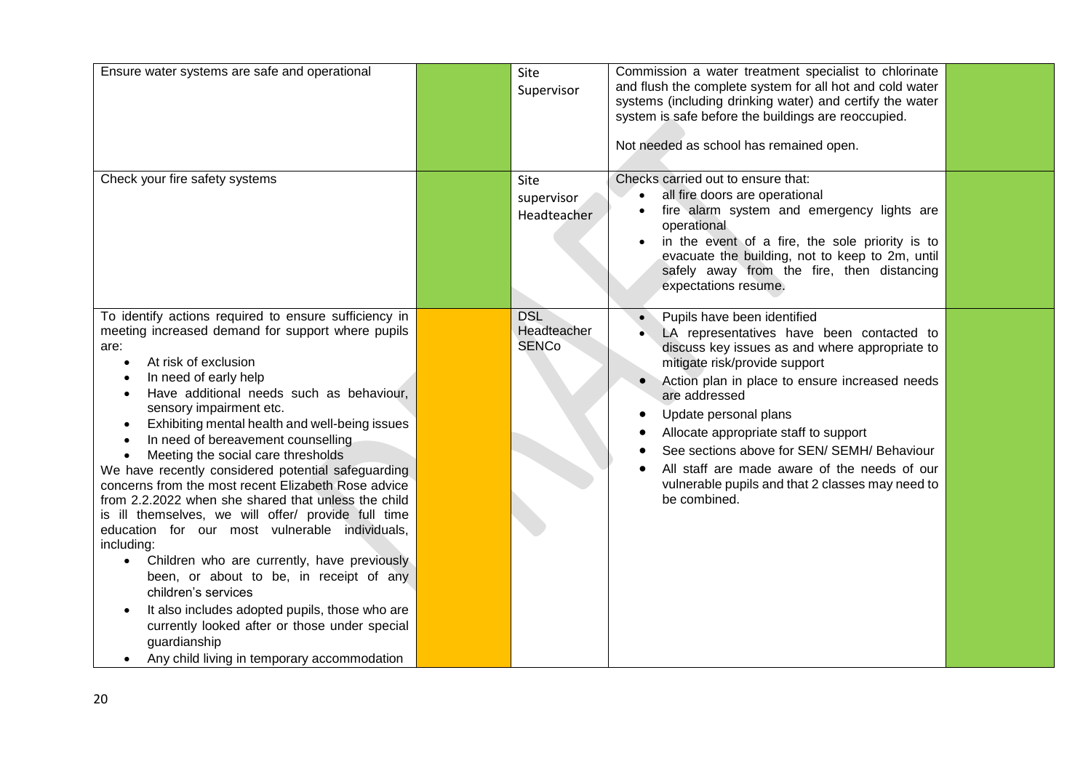| Ensure water systems are safe and operational                                                                                                                                                                                                                                                                                                                                                                                                                                                                                                                                                                                                                                                                                                                                                                                                                                                                                                                                                                                        | Site<br>Supervisor                        | Commission a water treatment specialist to chlorinate<br>and flush the complete system for all hot and cold water<br>systems (including drinking water) and certify the water<br>system is safe before the buildings are reoccupied.<br>Not needed as school has remained open.                                                                                                                                                                                     |  |
|--------------------------------------------------------------------------------------------------------------------------------------------------------------------------------------------------------------------------------------------------------------------------------------------------------------------------------------------------------------------------------------------------------------------------------------------------------------------------------------------------------------------------------------------------------------------------------------------------------------------------------------------------------------------------------------------------------------------------------------------------------------------------------------------------------------------------------------------------------------------------------------------------------------------------------------------------------------------------------------------------------------------------------------|-------------------------------------------|---------------------------------------------------------------------------------------------------------------------------------------------------------------------------------------------------------------------------------------------------------------------------------------------------------------------------------------------------------------------------------------------------------------------------------------------------------------------|--|
| Check your fire safety systems                                                                                                                                                                                                                                                                                                                                                                                                                                                                                                                                                                                                                                                                                                                                                                                                                                                                                                                                                                                                       | <b>Site</b><br>supervisor<br>Headteacher  | Checks carried out to ensure that:<br>all fire doors are operational<br>$\bullet$<br>fire alarm system and emergency lights are<br>operational<br>in the event of a fire, the sole priority is to<br>evacuate the building, not to keep to 2m, until<br>safely away from the fire, then distancing<br>expectations resume.                                                                                                                                          |  |
| To identify actions required to ensure sufficiency in<br>meeting increased demand for support where pupils<br>are:<br>At risk of exclusion<br>$\bullet$<br>In need of early help<br>Have additional needs such as behaviour,<br>sensory impairment etc.<br>Exhibiting mental health and well-being issues<br>$\bullet$<br>In need of bereavement counselling<br>$\bullet$<br>Meeting the social care thresholds<br>$\bullet$<br>We have recently considered potential safeguarding<br>concerns from the most recent Elizabeth Rose advice<br>from 2.2.2022 when she shared that unless the child<br>is ill themselves, we will offer/ provide full time<br>education for our most vulnerable individuals,<br>including:<br>Children who are currently, have previously<br>$\bullet$<br>been, or about to be, in receipt of any<br>children's services<br>It also includes adopted pupils, those who are<br>$\bullet$<br>currently looked after or those under special<br>guardianship<br>Any child living in temporary accommodation | <b>DSL</b><br>Headteacher<br><b>SENCo</b> | Pupils have been identified<br>LA representatives have been contacted to<br>discuss key issues as and where appropriate to<br>mitigate risk/provide support<br>Action plan in place to ensure increased needs<br>are addressed<br>Update personal plans<br>Allocate appropriate staff to support<br>See sections above for SEN/ SEMH/ Behaviour<br>All staff are made aware of the needs of our<br>vulnerable pupils and that 2 classes may need to<br>be combined. |  |